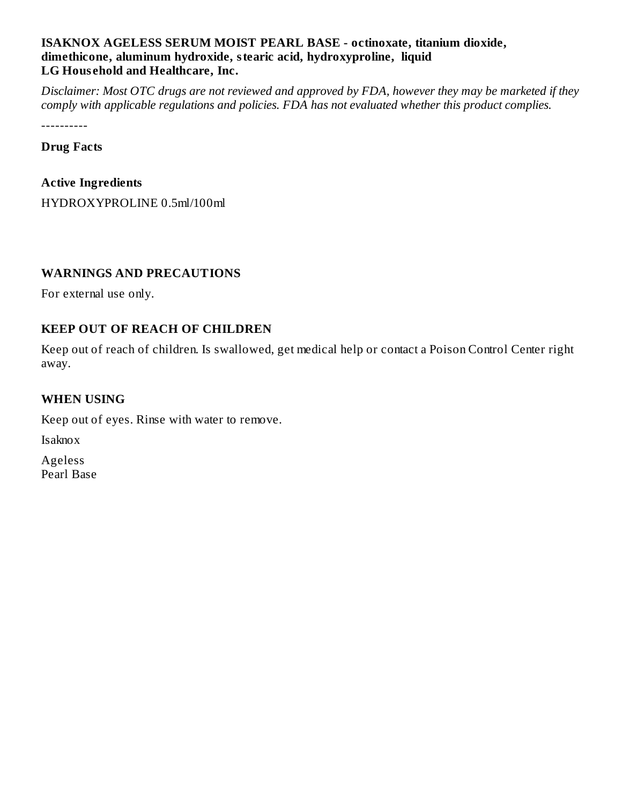#### **ISAKNOX AGELESS SERUM MOIST PEARL BASE - octinoxate, titanium dioxide, dimethicone, aluminum hydroxide, stearic acid, hydroxyproline, liquid LG Hous ehold and Healthcare, Inc.**

Disclaimer: Most OTC drugs are not reviewed and approved by FDA, however they may be marketed if they *comply with applicable regulations and policies. FDA has not evaluated whether this product complies.*

----------

**Drug Facts**

#### **Active Ingredients**

HYDROXYPROLINE 0.5ml/100ml

## **WARNINGS AND PRECAUTIONS**

For external use only.

## **KEEP OUT OF REACH OF CHILDREN**

Keep out of reach of children. Is swallowed, get medical help or contact a Poison Control Center right away.

### **WHEN USING**

Keep out of eyes. Rinse with water to remove.

Isaknox

Ageless Pearl Base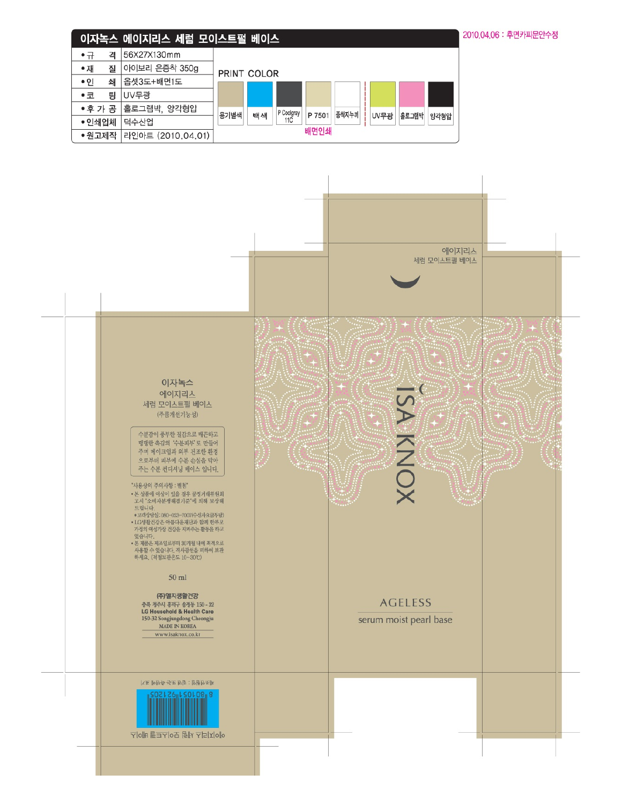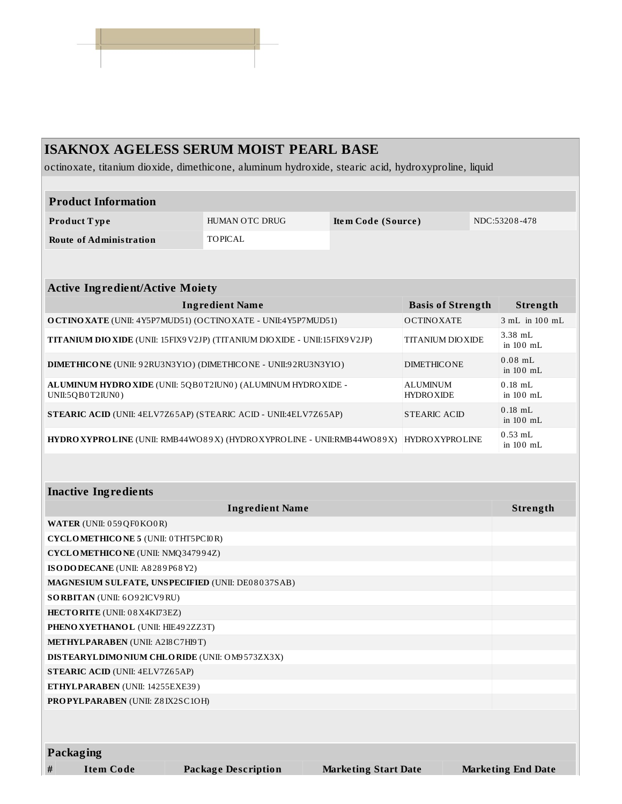# **ISAKNOX AGELESS SERUM MOIST PEARL BASE** octinoxate, titanium dioxide, dimethicone, aluminum hydroxide, stearic acid, hydroxyproline, liquid

| <b>Product Information</b>                                                                                                |                |                          |                        |          |                          |  |
|---------------------------------------------------------------------------------------------------------------------------|----------------|--------------------------|------------------------|----------|--------------------------|--|
| Product Type                                                                                                              | HUMAN OTC DRUG | Item Code (Source)       |                        |          | NDC:53208-478            |  |
| <b>Route of Administration</b>                                                                                            | <b>TOPICAL</b> |                          |                        |          |                          |  |
|                                                                                                                           |                |                          |                        |          |                          |  |
| <b>Active Ingredient/Active Moiety</b>                                                                                    |                |                          |                        |          |                          |  |
| <b>Ingredient Name</b>                                                                                                    |                | <b>Basis of Strength</b> |                        | Strength |                          |  |
| O CTINO XATE (UNII: 4Y5P7MUD51) (OCTINO XATE - UNII:4Y5P7MUD51)                                                           |                |                          | <b>OCTINOXATE</b>      |          | 3 mL in 100 mL           |  |
| TITANIUM DIO XIDE (UNII: 15FIX9 V2JP) (TITANIUM DIO XIDE - UNII: 15FIX9 V2JP)<br><b>TITANIUM DIO XIDE</b>                 |                |                          |                        |          | 3.38 mL<br>in 100 mL     |  |
| DIMETHICONE (UNII: 92RU3N3Y1O) (DIMETHICONE - UNII:92RU3N3Y1O)<br><b>DIMETHICONE</b>                                      |                |                          |                        |          | $0.08$ mL<br>in $100$ mL |  |
| ALUMINUM HYDRO XIDE (UNII: 5QB0T2IUN0) (ALUMINUM HYDRO XIDE -<br><b>ALUMINUM</b><br>UNII:5QB0T2IUN0)<br><b>HYDRO XIDE</b> |                |                          |                        |          | $0.18$ mL<br>in 100 mL   |  |
| <b>STEARIC ACID (UNII: 4ELV7Z65AP) (STEARIC ACID - UNII:4ELV7Z65AP)</b><br><b>STEARIC ACID</b>                            |                |                          |                        |          | $0.18$ mL<br>in 100 mL   |  |
| HYDRO XYPROLINE (UNII: RMB44WO89X) (HYDRO XYPROLINE - UNII:RMB44WO89X)                                                    |                |                          | <b>HYDRO XYPROLINE</b> |          | $0.53$ mL<br>in 100 mL   |  |
|                                                                                                                           |                |                          |                        |          |                          |  |
| <b>Inactive Ingredients</b>                                                                                               |                |                          |                        |          |                          |  |
| <b>Ingredient Name</b>                                                                                                    |                |                          |                        |          | Strength                 |  |
| WATER (UNII: 059 QF0 KO0 R)                                                                                               |                |                          |                        |          |                          |  |
| <b>CYCLOMETHICONE 5 (UNII: 0THT5PCI0R)</b>                                                                                |                |                          |                        |          |                          |  |

| <b>CYCLOMETHICONE 5 (UNII: 0THT5PCI0R)</b>        |  |
|---------------------------------------------------|--|
| CYCLOMETHICONE (UNII: NMQ347994Z)                 |  |
| ISO DO DECANE (UNII: A8289P68Y2)                  |  |
| MAGNESIUM SULFATE, UNSPECIFIED (UNII: DE08037SAB) |  |
| <b>SORBITAN (UNII: 6O92ICV9RU)</b>                |  |
| HECTORITE (UNII: 08X4KI73EZ)                      |  |
| PHENO XYETHANOL (UNII: HIE492ZZ3T)                |  |
| METHYLPARABEN (UNII: A218 C7H19T)                 |  |
| DISTEARYLDIMONIUM CHLORIDE (UNII: OM9573ZX3X)     |  |
| <b>STEARIC ACID (UNII: 4ELV7Z65AP)</b>            |  |
| ETHYLPARABEN (UNII: 14255EXE39)                   |  |
| <b>PROPYLPARABEN (UNII: Z8IX2SC1OH)</b>           |  |
|                                                   |  |
|                                                   |  |
| $\mathbf{r}$ , $\mathbf{r}$                       |  |

**Packaging**